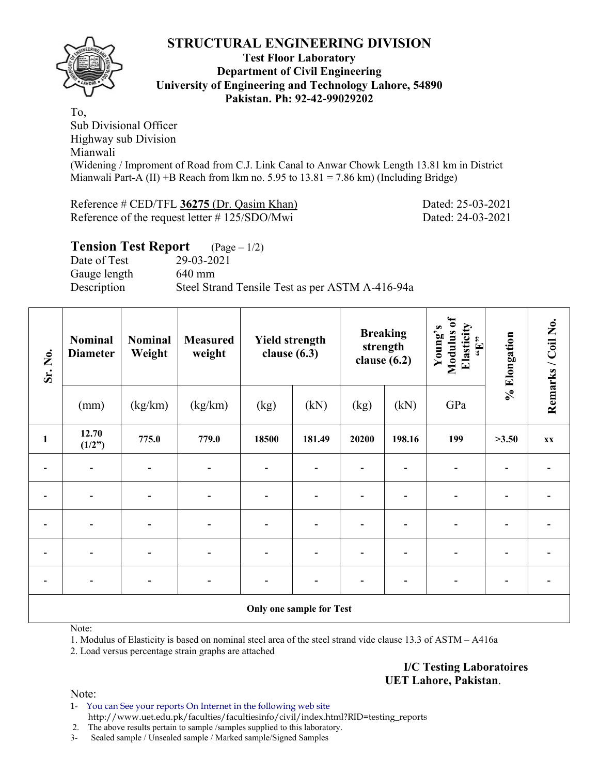

#### **Test Floor Laboratory Department of Civil Engineering University of Engineering and Technology Lahore, 54890 Pakistan. Ph: 92-42-99029202**

To, Sub Divisional Officer Highway sub Division Mianwali (Widening / Improment of Road from C.J. Link Canal to Anwar Chowk Length 13.81 km in District Mianwali Part-A (II) +B Reach from lkm no. 5.95 to  $13.81 = 7.86$  km) (Including Bridge)

Reference # CED/TFL 36275 (Dr. Qasim Khan) Dated: 25-03-2021 Reference of the request letter # 125/SDO/Mwi Dated: 24-03-2021

# **Tension Test Report** (Page – 1/2)

Date of Test 29-03-2021 Gauge length 640 mm Description Steel Strand Tensile Test as per ASTM A-416-94a

| Sr. No.      | <b>Nominal</b><br><b>Diameter</b> | <b>Nominal</b><br>Weight | <b>Measured</b><br>weight |                | <b>Yield strength</b><br>clause $(6.3)$ |       | <b>Breaking</b><br>strength<br>clause $(6.2)$ |     | % Elongation | Remarks / Coil No. |  |  |
|--------------|-----------------------------------|--------------------------|---------------------------|----------------|-----------------------------------------|-------|-----------------------------------------------|-----|--------------|--------------------|--|--|
|              | (mm)                              | (kg/km)                  | (kg/km)                   | (kg)           | (kN)                                    | (kg)  | (kN)                                          | GPa |              |                    |  |  |
| $\mathbf{1}$ | 12.70<br>(1/2")                   | 775.0                    | 779.0                     | 18500          | 181.49                                  | 20200 | 198.16                                        | 199 | >3.50        | <b>XX</b>          |  |  |
|              | $\overline{\phantom{0}}$          |                          |                           | $\blacksquare$ |                                         |       |                                               |     |              |                    |  |  |
|              |                                   |                          |                           |                |                                         |       |                                               |     |              |                    |  |  |
|              |                                   |                          |                           |                |                                         |       |                                               |     |              |                    |  |  |
|              |                                   |                          |                           |                |                                         |       |                                               |     |              |                    |  |  |
|              |                                   |                          |                           |                |                                         |       |                                               |     |              |                    |  |  |
|              | Only one sample for Test          |                          |                           |                |                                         |       |                                               |     |              |                    |  |  |

Note:

1. Modulus of Elasticity is based on nominal steel area of the steel strand vide clause 13.3 of ASTM – A416a

2. Load versus percentage strain graphs are attached

**I/C Testing Laboratoires UET Lahore, Pakistan**.

Note:

1- You can See your reports On Internet in the following web site http://www.uet.edu.pk/faculties/facultiesinfo/civil/index.html?RID=testing\_reports

2. The above results pertain to sample /samples supplied to this laboratory.

3- Sealed sample / Unsealed sample / Marked sample/Signed Samples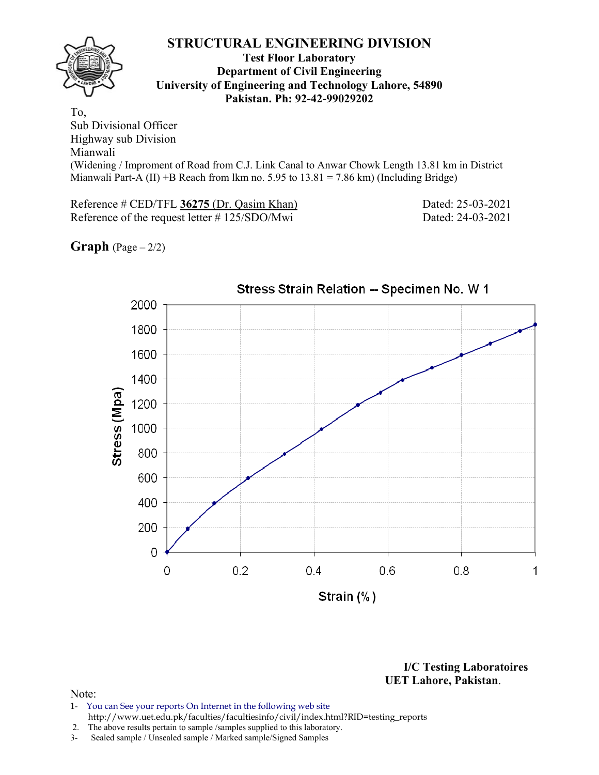

#### **Test Floor Laboratory Department of Civil Engineering University of Engineering and Technology Lahore, 54890 Pakistan. Ph: 92-42-99029202**

To, Sub Divisional Officer Highway sub Division Mianwali (Widening / Improment of Road from C.J. Link Canal to Anwar Chowk Length 13.81 km in District Mianwali Part-A  $(II)$  +B Reach from lkm no. 5.95 to  $13.81 = 7.86$  km) (Including Bridge)

Reference # CED/TFL 36275 (Dr. Qasim Khan) Dated: 25-03-2021 Reference of the request letter # 125/SDO/Mwi Dated: 24-03-2021

## **Graph**  $(Page - 2/2)$



**I/C Testing Laboratoires UET Lahore, Pakistan**.

#### Note:

- 1- You can See your reports On Internet in the following web site http://www.uet.edu.pk/faculties/facultiesinfo/civil/index.html?RID=testing\_reports
- 2. The above results pertain to sample /samples supplied to this laboratory.
- 3- Sealed sample / Unsealed sample / Marked sample/Signed Samples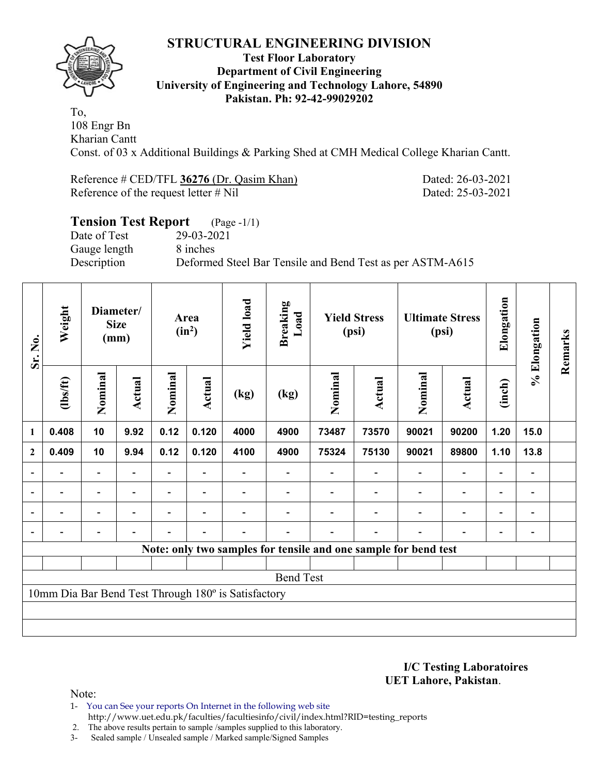

#### **Test Floor Laboratory Department of Civil Engineering University of Engineering and Technology Lahore, 54890 Pakistan. Ph: 92-42-99029202**

To, 108 Engr Bn Kharian Cantt Const. of 03 x Additional Buildings & Parking Shed at CMH Medical College Kharian Cantt.

Reference # CED/TFL 36276 (Dr. Qasim Khan) Dated: 26-03-2021 Reference of the request letter # Nil Dated: 25-03-2021

# **Tension Test Report** (Page -1/1) Date of Test 29-03-2021 Gauge length 8 inches Description Deformed Steel Bar Tensile and Bend Test as per ASTM-A615

| Sr. No.          | Weight                                                          |                              | Diameter/<br><b>Size</b><br>(mm) |         | Area<br>$(in^2)$         | <b>Yield load</b>                                   | <b>Breaking</b><br>Load |         | <b>Yield Stress</b><br>(psi) |                          | <b>Ultimate Stress</b><br>(psi) | Elongation               | % Elongation                 | Remarks |
|------------------|-----------------------------------------------------------------|------------------------------|----------------------------------|---------|--------------------------|-----------------------------------------------------|-------------------------|---------|------------------------------|--------------------------|---------------------------------|--------------------------|------------------------------|---------|
|                  | $\frac{2}{10}$                                                  | Nominal                      | Actual                           | Nominal | Actual                   | (kg)                                                | (kg)                    | Nominal | Actual                       | Nominal                  | Actual                          | (inch)                   |                              |         |
| 1                | 0.408                                                           | 10                           | 9.92                             | 0.12    | 0.120                    | 4000                                                | 4900                    | 73487   | 73570                        | 90021                    | 90200                           | 1.20                     | 15.0                         |         |
| $\overline{2}$   | 0.409                                                           | 10                           | 9.94                             | 0.12    | 0.120                    | 4100                                                | 4900                    | 75324   | 75130                        | 90021                    | 89800                           | 1.10                     | 13.8                         |         |
|                  |                                                                 |                              |                                  |         |                          |                                                     |                         |         |                              |                          |                                 |                          |                              |         |
| $\blacksquare$   | $\overline{\phantom{0}}$                                        | $\qquad \qquad \blacksquare$ | $\blacksquare$                   |         | $\overline{\phantom{0}}$ |                                                     |                         |         | $\qquad \qquad \blacksquare$ | $\overline{\phantom{0}}$ | Ξ.                              | $\blacksquare$           | $\overline{\phantom{a}}$     |         |
|                  | $\overline{a}$                                                  | $\overline{\phantom{0}}$     |                                  |         |                          |                                                     |                         |         |                              |                          | $\overline{a}$                  | $\overline{\phantom{0}}$ | $\blacksquare$               |         |
|                  |                                                                 |                              |                                  |         |                          |                                                     |                         |         | $\overline{\phantom{0}}$     |                          | $\overline{\phantom{0}}$        | $\overline{\phantom{0}}$ | $\qquad \qquad \blacksquare$ |         |
|                  | Note: only two samples for tensile and one sample for bend test |                              |                                  |         |                          |                                                     |                         |         |                              |                          |                                 |                          |                              |         |
|                  |                                                                 |                              |                                  |         |                          |                                                     |                         |         |                              |                          |                                 |                          |                              |         |
| <b>Bend Test</b> |                                                                 |                              |                                  |         |                          |                                                     |                         |         |                              |                          |                                 |                          |                              |         |
|                  |                                                                 |                              |                                  |         |                          | 10mm Dia Bar Bend Test Through 180° is Satisfactory |                         |         |                              |                          |                                 |                          |                              |         |
|                  |                                                                 |                              |                                  |         |                          |                                                     |                         |         |                              |                          |                                 |                          |                              |         |
|                  |                                                                 |                              |                                  |         |                          |                                                     |                         |         |                              |                          |                                 |                          |                              |         |

**I/C Testing Laboratoires UET Lahore, Pakistan**.

Note:

1- You can See your reports On Internet in the following web site http://www.uet.edu.pk/faculties/facultiesinfo/civil/index.html?RID=testing\_reports

2. The above results pertain to sample /samples supplied to this laboratory.

3- Sealed sample / Unsealed sample / Marked sample/Signed Samples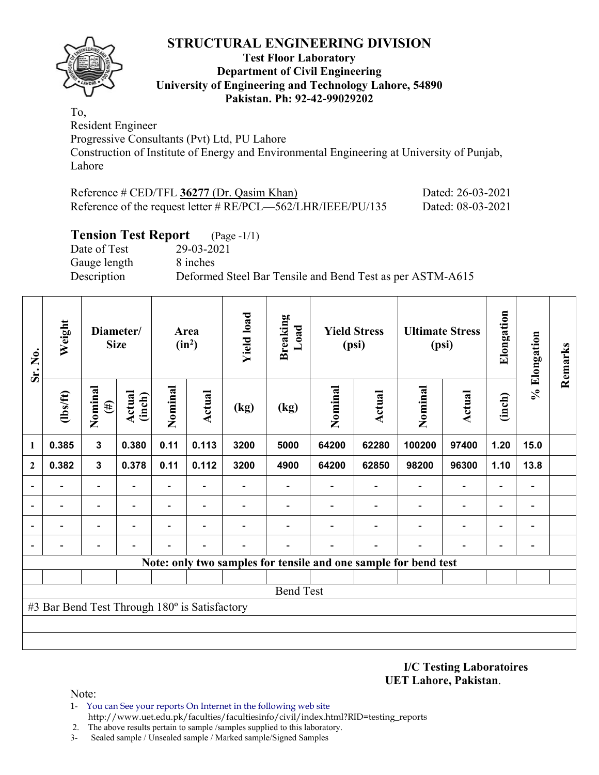

#### **Test Floor Laboratory Department of Civil Engineering University of Engineering and Technology Lahore, 54890 Pakistan. Ph: 92-42-99029202**

To, Resident Engineer

Progressive Consultants (Pvt) Ltd, PU Lahore

Construction of Institute of Energy and Environmental Engineering at University of Punjab, Lahore

| Reference $\#$ CED/TFL 36277 (Dr. Qasim Khan)                   | Dated: 26-03-2021 |
|-----------------------------------------------------------------|-------------------|
| Reference of the request letter $\#$ RE/PCL—562/LHR/IEEE/PU/135 | Dated: 08-03-2021 |

## **Tension Test Report** (Page -1/1)

Date of Test 29-03-2021 Gauge length 8 inches

Description Deformed Steel Bar Tensile and Bend Test as per ASTM-A615

| Sr. No.      | Weight                                        |                          | Diameter/<br><b>Size</b> |                          | Area<br>$(in^2)$         | <b>Yield load</b> | <b>Breaking</b><br>Load  |         | <b>Yield Stress</b><br>(psi) |                                                                 | <b>Ultimate Stress</b><br>(psi) | Elongation               | % Elongation                 | Remarks |
|--------------|-----------------------------------------------|--------------------------|--------------------------|--------------------------|--------------------------|-------------------|--------------------------|---------|------------------------------|-----------------------------------------------------------------|---------------------------------|--------------------------|------------------------------|---------|
|              | (1bs/ft)                                      | Nominal<br>$(\#)$        | Actual<br>(inch)         | Nominal                  | Actual                   | (kg)              | (kg)                     | Nominal | Actual                       | Nominal                                                         | Actual                          | (inch)                   |                              |         |
| 1            | 0.385                                         | $\mathbf{3}$             | 0.380                    | 0.11                     | 0.113                    | 3200              | 5000                     | 64200   | 62280                        | 100200                                                          | 97400                           | 1.20                     | 15.0                         |         |
| $\mathbf{2}$ | 0.382                                         | $\mathbf{3}$             | 0.378                    | 0.11                     | 0.112                    | 3200              | 4900                     | 64200   | 62850                        | 98200                                                           | 96300                           | 1.10                     | 13.8                         |         |
|              | $\overline{\phantom{0}}$                      | $\overline{\phantom{0}}$ | $\overline{a}$           | Ξ.                       | $\overline{\phantom{a}}$ |                   | $\overline{\phantom{0}}$ |         | $\overline{\phantom{0}}$     | $\overline{\phantom{0}}$                                        | $\overline{\phantom{a}}$        | $\overline{\phantom{0}}$ | $\qquad \qquad \blacksquare$ |         |
|              | $\overline{\phantom{0}}$                      | $\qquad \qquad -$        |                          | $\overline{\phantom{0}}$ | $\overline{\phantom{0}}$ |                   |                          |         |                              |                                                                 | $\qquad \qquad \blacksquare$    | $\overline{\phantom{0}}$ | $\qquad \qquad \blacksquare$ |         |
|              |                                               | $\overline{\phantom{0}}$ |                          | -                        |                          |                   |                          |         |                              |                                                                 | $\blacksquare$                  | $\overline{\phantom{0}}$ | $\blacksquare$               |         |
|              |                                               |                          |                          |                          |                          |                   |                          |         |                              |                                                                 |                                 |                          | -                            |         |
|              |                                               |                          |                          |                          |                          |                   |                          |         |                              | Note: only two samples for tensile and one sample for bend test |                                 |                          |                              |         |
|              |                                               |                          |                          |                          |                          |                   |                          |         |                              |                                                                 |                                 |                          |                              |         |
|              | <b>Bend Test</b>                              |                          |                          |                          |                          |                   |                          |         |                              |                                                                 |                                 |                          |                              |         |
|              | #3 Bar Bend Test Through 180° is Satisfactory |                          |                          |                          |                          |                   |                          |         |                              |                                                                 |                                 |                          |                              |         |
|              |                                               |                          |                          |                          |                          |                   |                          |         |                              |                                                                 |                                 |                          |                              |         |
|              |                                               |                          |                          |                          |                          |                   |                          |         |                              |                                                                 |                                 |                          |                              |         |

**I/C Testing Laboratoires UET Lahore, Pakistan**.

Note:

- 1- You can See your reports On Internet in the following web site http://www.uet.edu.pk/faculties/facultiesinfo/civil/index.html?RID=testing\_reports
- 2. The above results pertain to sample /samples supplied to this laboratory.
- 3- Sealed sample / Unsealed sample / Marked sample/Signed Samples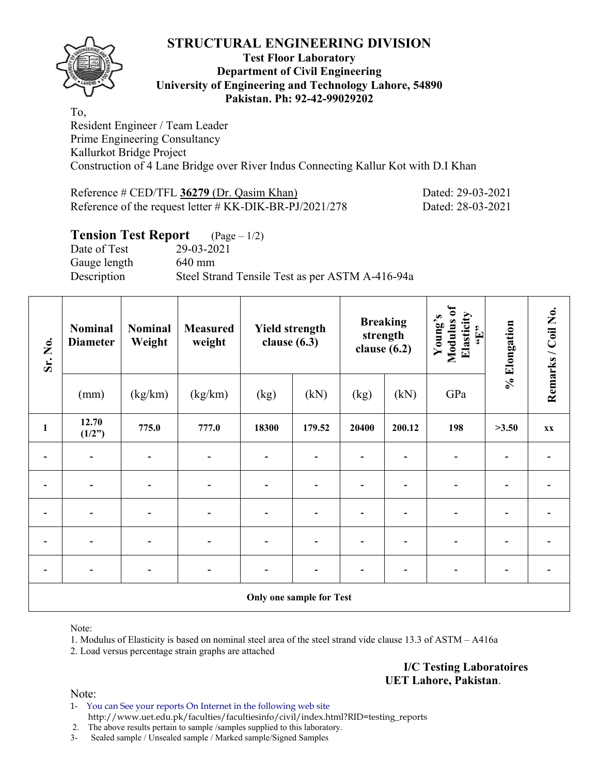

#### **Test Floor Laboratory Department of Civil Engineering University of Engineering and Technology Lahore, 54890 Pakistan. Ph: 92-42-99029202**

To, Resident Engineer / Team Leader Prime Engineering Consultancy Kallurkot Bridge Project Construction of 4 Lane Bridge over River Indus Connecting Kallur Kot with D.I Khan

| Reference $\#$ CED/TFL 36279 (Dr. Qasim Khan)              | Dated: 29-03-2021 |
|------------------------------------------------------------|-------------------|
| Reference of the request letter $\#$ KK-DIK-BR-PJ/2021/278 | Dated: 28-03-2021 |

## **Tension Test Report** (Page – 1/2)

Date of Test 29-03-2021 Gauge length 640 mm Description Steel Strand Tensile Test as per ASTM A-416-94a

| Sr. No.      | <b>Nominal</b><br><b>Diameter</b> | <b>Nominal</b><br>Weight | <b>Measured</b><br>weight | <b>Yield strength</b><br>clause $(6.3)$ |        | <b>Breaking</b><br>strength<br>clause $(6.2)$ |        | Modulus of<br>Elasticity<br>Young's<br>$\epsilon$ . Here | % Elongation | Remarks / Coil No. |  |
|--------------|-----------------------------------|--------------------------|---------------------------|-----------------------------------------|--------|-----------------------------------------------|--------|----------------------------------------------------------|--------------|--------------------|--|
|              | (mm)                              | (kg/km)                  | (kg/km)                   | (kg)                                    | (kN)   | (kg)                                          | (kN)   | GPa                                                      |              |                    |  |
| $\mathbf{1}$ | 12.70<br>(1/2")                   | 775.0                    | 777.0                     | 18300                                   | 179.52 | 20400                                         | 200.12 | 198                                                      | >3.50        | XX                 |  |
|              |                                   |                          |                           |                                         |        |                                               |        |                                                          |              |                    |  |
|              |                                   |                          |                           |                                         |        |                                               |        |                                                          |              |                    |  |
|              |                                   |                          |                           |                                         |        |                                               |        |                                                          |              |                    |  |
|              | $\overline{\phantom{0}}$          |                          |                           |                                         |        |                                               |        |                                                          |              |                    |  |
|              | $\overline{\phantom{0}}$          |                          |                           |                                         |        |                                               |        | -                                                        |              |                    |  |
|              | <b>Only one sample for Test</b>   |                          |                           |                                         |        |                                               |        |                                                          |              |                    |  |

Note:

1. Modulus of Elasticity is based on nominal steel area of the steel strand vide clause 13.3 of ASTM – A416a

2. Load versus percentage strain graphs are attached

**I/C Testing Laboratoires UET Lahore, Pakistan**.

Note:

1- You can See your reports On Internet in the following web site http://www.uet.edu.pk/faculties/facultiesinfo/civil/index.html?RID=testing\_reports

2. The above results pertain to sample /samples supplied to this laboratory.

3- Sealed sample / Unsealed sample / Marked sample/Signed Samples